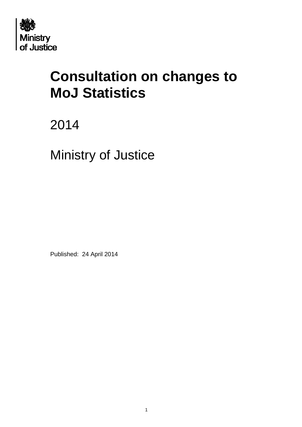

# **Consultation on changes to MoJ Statistics**

2014

Ministry of Justice

Published: 24 April 2014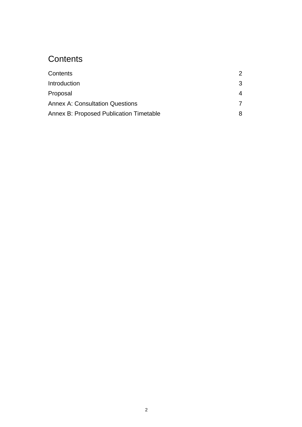# <span id="page-1-0"></span>**Contents**

| Contents                                       | 2 |
|------------------------------------------------|---|
| Introduction                                   | 3 |
| Proposal                                       | 4 |
| <b>Annex A: Consultation Questions</b>         |   |
| <b>Annex B: Proposed Publication Timetable</b> |   |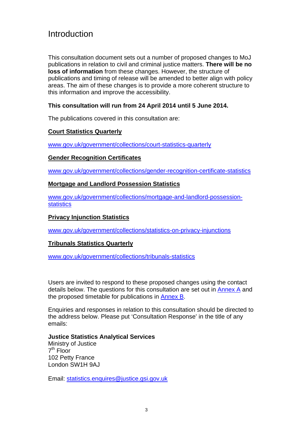# <span id="page-2-0"></span>Introduction

This consultation document sets out a number of proposed changes to MoJ publications in relation to civil and criminal justice matters. **There will be no loss of information** from these changes. However, the structure of publications and timing of release will be amended to better align with policy areas. The aim of these changes is to provide a more coherent structure to this information and improve the accessibility.

### **This consultation will run from 24 April 2014 until 5 June 2014.**

The publications covered in this consultation are:

### **Court Statistics Quarterly**

[www.gov.uk/government/collections/court-statistics-quarterly](http://www.gov.uk/government/collections/court-statistics-quarterly)

#### **Gender Recognition Certificates**

[www.gov.uk/government/collections/gender-recognition-certificate-statistics](http://www.gov.uk/government/collections/gender-recognition-certificate-statistics)

#### **Mortgage and Landlord Possession Statistics**

[www.gov.uk/government/collections/mortgage-and-landlord-possession](http://www.gov.uk/government/collections/mortgage-and-landlord-possession-statistics)**[statistics](http://www.gov.uk/government/collections/mortgage-and-landlord-possession-statistics)** 

#### **Privacy Injunction Statistics**

[www.gov.uk/government/collections/statistics-on-privacy-injunctions](http://www.gov.uk/government/collections/statistics-on-privacy-injunctions)

#### **Tribunals Statistics Quarterly**

[www.gov.uk/government/collections/tribunals-statistics](http://www.gov.uk/government/collections/tribunals-statistics)

Users are invited to respond to these proposed changes using the contact details below. The questions for this consultation are set out in [Annex A](#page-5-0) and the proposed timetable for publications in [Annex B](#page-6-1).

Enquiries and responses in relation to this consultation should be directed to the address below. Please put 'Consultation Response' in the title of any emails:

#### **Justice Statistics Analytical Services**

Ministry of Justice 7th Floor 102 Petty France London SW1H 9AJ

Email: [statistics.enquires@justice.gsi.gov.uk](mailto:statistics.enquiries@justice.gsi.gov.uk)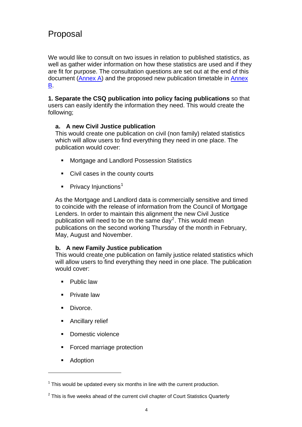# <span id="page-3-0"></span>Proposal

We would like to consult on two issues in relation to published statistics, as well as gather wider information on how these statistics are used and if they are fit for purpose. The consultation questions are set out at the end of this document ([Annex A](#page-5-0)) and the proposed new publication timetable in [Annex](#page-6-1)  [B.](#page-6-1)

**1. Separate the CSQ publication into policy facing publications** so that users can easily identify the information they need. This would create the following;

### **a. A new Civil Justice publication**

This would create one publication on civil (non family) related statistics which will allow users to find everything they need in one place. The publication would cover:

- **Mortgage and Landlord Possession Statistics**
- Civil cases in the county courts
- **Privacy Injunctions**<sup>[1](#page-3-1)</sup>

As the Mortgage and Landlord data is commercially sensitive and timed to coincide with the release of information from the Council of Mortgage Lenders. In order to maintain this alignment the new Civil Justice publication will need to be on the same day<sup>[2](#page-3-2)</sup>. This would mean publications on the second working Thursday of the month in February, May, August and November.

#### **b. A new Family Justice publication**

This would create one publication on family justice related statistics which will allow users to find everything they need in one place. The publication would cover:

- **Public law**
- **Private law**
- **Divorce.**
- **Ancillary relief**
- Domestic violence
- **Forced marriage protection**
- **Adoption**

1

<span id="page-3-1"></span> $1$  This would be updated every six months in line with the current production.

<span id="page-3-2"></span> $2$  This is five weeks ahead of the current civil chapter of Court Statistics Quarterly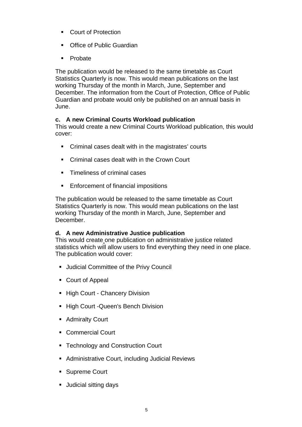- **Court of Protection**
- Office of Public Guardian
- **Probate**

The publication would be released to the same timetable as Court Statistics Quarterly is now. This would mean publications on the last working Thursday of the month in March, June, September and December. The information from the Court of Protection, Office of Public Guardian and probate would only be published on an annual basis in June.

### **c. A new Criminal Courts Workload publication**

This would create a new Criminal Courts Workload publication, this would cover:

- Criminal cases dealt with in the magistrates' courts
- Criminal cases dealt with in the Crown Court
- **Timeliness of criminal cases**
- **Enforcement of financial impositions**

The publication would be released to the same timetable as Court Statistics Quarterly is now. This would mean publications on the last working Thursday of the month in March, June, September and December.

#### **d. A new Administrative Justice publication**

This would create one publication on administrative justice related statistics which will allow users to find everything they need in one place. The publication would cover:

- **Judicial Committee of the Privy Council**
- Court of Appeal
- **High Court Chancery Division**
- **High Court Queen's Bench Division**
- **Admiralty Court**
- Commercial Court
- Technology and Construction Court
- **Administrative Court, including Judicial Reviews**
- **Supreme Court**
- **Judicial sitting days**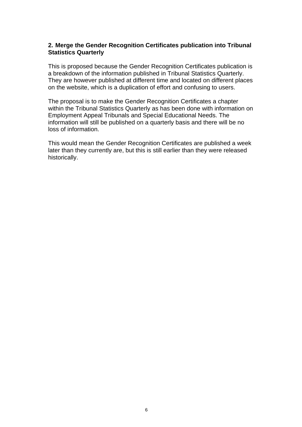#### **2. Merge the Gender Recognition Certificates publication into Tribunal Statistics Quarterly**

This is proposed because the Gender Recognition Certificates publication is a breakdown of the information published in Tribunal Statistics Quarterly. They are however published at different time and located on different places on the website, which is a duplication of effort and confusing to users.

The proposal is to make the Gender Recognition Certificates a chapter within the Tribunal Statistics Quarterly as has been done with information on Employment Appeal Tribunals and Special Educational Needs. The information will still be published on a quarterly basis and there will be no loss of information.

<span id="page-5-0"></span>This would mean the Gender Recognition Certificates are published a week later than they currently are, but this is still earlier than they were released historically.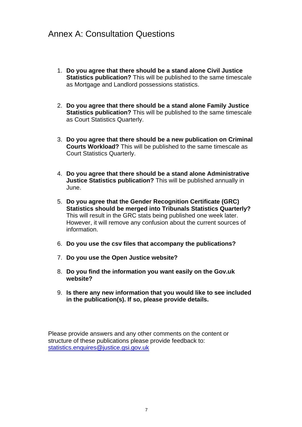# <span id="page-6-0"></span>Annex A: Consultation Questions

- 1. **Do you agree that there should be a stand alone Civil Justice Statistics publication?** This will be published to the same timescale as Mortgage and Landlord possessions statistics.
- 2. **Do you agree that there should be a stand alone Family Justice Statistics publication?** This will be published to the same timescale as Court Statistics Quarterly.
- 3. **Do you agree that there should be a new publication on Criminal Courts Workload?** This will be published to the same timescale as Court Statistics Quarterly.
- 4. **Do you agree that there should be a stand alone Administrative Justice Statistics publication?** This will be published annually in June.
- 5. **Do you agree that the Gender Recognition Certificate (GRC) Statistics should be merged into Tribunals Statistics Quarterly?** This will result in the GRC stats being published one week later. However, it will remove any confusion about the current sources of information.
- 6. **Do you use the csv files that accompany the publications?**
- 7. **Do you use the Open Justice website?**
- 8. **Do you find the information you want easily on the Gov.uk website?**
- 9. **Is there any new information that you would like to see included in the publication(s). If so, please provide details.**

<span id="page-6-1"></span>Please provide answers and any other comments on the content or structure of these publications please provide feedback to: [statistics.enquires@justice.gsi.gov.uk](mailto:statistics.enquiries@justice.gsi.gov.uk)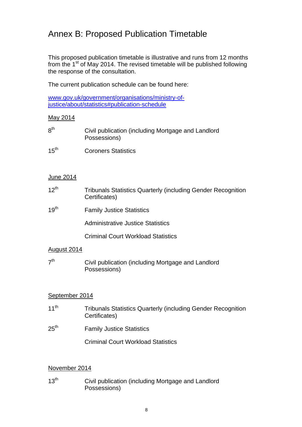# <span id="page-7-0"></span>Annex B: Proposed Publication Timetable

This proposed publication timetable is illustrative and runs from 12 months from the  $1<sup>st</sup>$  of May 2014. The revised timetable will be published following the response of the consultation.

The current publication schedule can be found here:

[www.gov.uk/government/organisations/ministry-of](http://www.gov.uk/government/organisations/ministry-of-justice/about/statistics#publication-schedule)[justice/about/statistics#publication-schedule](http://www.gov.uk/government/organisations/ministry-of-justice/about/statistics#publication-schedule)

#### May 2014

| 8 <sup>th</sup>  | Civil publication (including Mortgage and Landlord<br>Possessions)                   |
|------------------|--------------------------------------------------------------------------------------|
| 15 <sup>th</sup> | <b>Coroners Statistics</b>                                                           |
|                  |                                                                                      |
| June 2014        |                                                                                      |
| $12^{th}$        | <b>Tribunals Statistics Quarterly (including Gender Recognition</b><br>Certificates) |
| 19 <sup>th</sup> | <b>Family Justice Statistics</b>                                                     |
|                  | <b>Administrative Justice Statistics</b>                                             |
|                  | <b>Criminal Court Workload Statistics</b>                                            |
| August 2014      |                                                                                      |
| - th             |                                                                                      |

## $7<sup>th</sup>$  Civil publication (including Mortgage and Landlord Possessions)

#### September 2014

- 11<sup>th</sup> Tribunals Statistics Quarterly (including Gender Recognition Certificates)
- 25<sup>th</sup> Family Justice Statistics

Criminal Court Workload Statistics

#### November 2014

13<sup>th</sup> Civil publication (including Mortgage and Landlord Possessions)